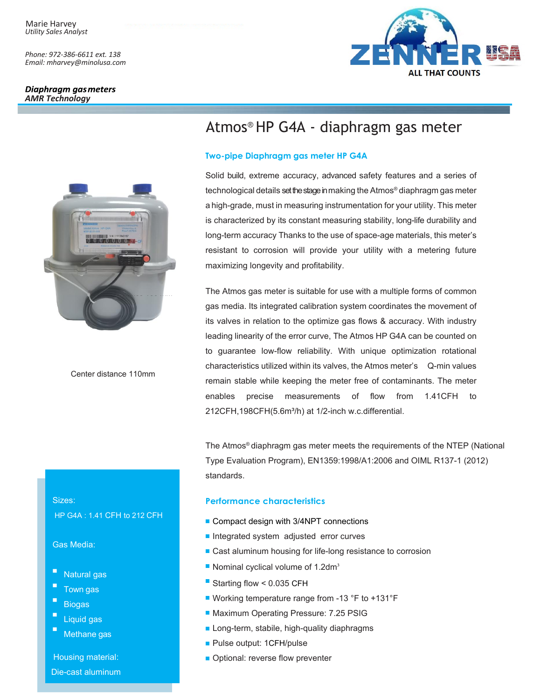*Phone: 972-386-6611 ext. 138 Email: mharvey@minolusa.com*

### Diaphragm gas meters *AMR Technology*



Center distance 110mm

# Atmos® HP G4A - diaphragm gas meter

## **Two-pipe Diaphragm gas meter HP G4A**

Solid build, extreme accuracy, advanced safety features and a series of technological details set the stage in making the Atmos® diaphragm gas meter a high-grade, must in measuring instrumentation for your utility. This meter is characterized by its constant measuring stability, long-life durability and long-term accuracy Thanks to the use of space-age materials, this meter's resistant to corrosion will provide your utility with a metering future maximizing longevity and profitability.

The Atmos gas meter is suitable for use with a multiple forms of common gas media. Its integrated calibration system coordinates the movement of its valves in relation to the optimize gas flows & accuracy. With industry leading linearity of the error curve, The Atmos HP G4A can be counted on to guarantee low-flow reliability. With unique optimization rotational characteristics utilized within its valves, the Atmos meter's Q-min values remain stable while keeping the meter free of contaminants. The meter enables precise measurements of flow from 1.41CFH to 212CFH,198CFH(5.6m<sup>3</sup>/h) at 1/2-inch w.c.differential.

The Atmos® diaphragm gas meter meets the requirements of the NTEP (National Type Evaluation Program), EN1359:1998/A1:2006 and OIML R137-1 (2012) standards.

## **Performance characteristics**

- Compact design with 3/4NPT connections
- Integrated system adjusted error curves
- Cast aluminum housing for life-long resistance to corrosion
- Nominal cyclical volume of 1.2dm<sup>3</sup>
- Starting flow < 0.035 CFH
- Working temperature range from -13 °F to +131°F
- Maximum Operating Pressure: 7.25 PSIG
- **Long-term, stabile, high-quality diaphragms**
- Pulse output: 1CFH/pulse
- Optional: reverse flow preventer

Sizes:

HP G4A : 1.41 CFH to 212 CFH

Gas Media:

- Natural gas
- Town gas
- E **Biogas**
- Liquid gas
- Methane gas

Housing material: Die-cast aluminum